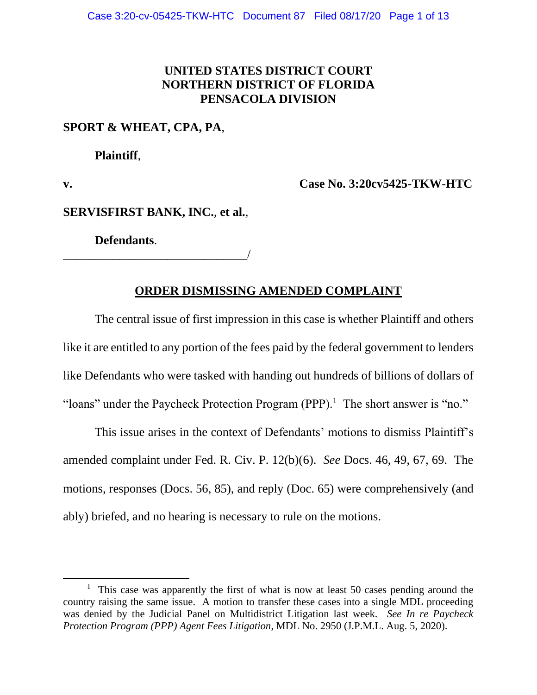# **UNITED STATES DISTRICT COURT NORTHERN DISTRICT OF FLORIDA PENSACOLA DIVISION**

## **SPORT & WHEAT, CPA, PA**,

**Plaintiff**,

**v. Case No. 3:20cv5425-TKW-HTC**

**SERVISFIRST BANK, INC.**, **et al.**,

**Defendants**.

\_\_\_\_\_\_\_\_\_\_\_\_\_\_\_\_\_\_\_\_\_\_\_\_\_\_\_\_\_\_/

## **ORDER DISMISSING AMENDED COMPLAINT**

The central issue of first impression in this case is whether Plaintiff and others like it are entitled to any portion of the fees paid by the federal government to lenders like Defendants who were tasked with handing out hundreds of billions of dollars of "loans" under the Paycheck Protection Program (PPP).<sup>1</sup> The short answer is "no."

This issue arises in the context of Defendants' motions to dismiss Plaintiff's amended complaint under Fed. R. Civ. P. 12(b)(6). *See* Docs. 46, 49, 67, 69. The motions, responses (Docs. 56, 85), and reply (Doc. 65) were comprehensively (and ably) briefed, and no hearing is necessary to rule on the motions.

<sup>&</sup>lt;sup>1</sup> This case was apparently the first of what is now at least 50 cases pending around the country raising the same issue. A motion to transfer these cases into a single MDL proceeding was denied by the Judicial Panel on Multidistrict Litigation last week. *See In re Paycheck Protection Program (PPP) Agent Fees Litigation*, MDL No. 2950 (J.P.M.L. Aug. 5, 2020).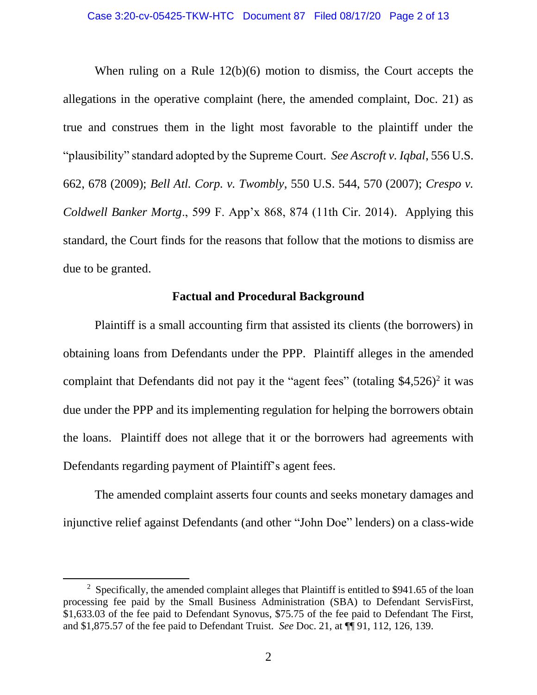When ruling on a Rule 12(b)(6) motion to dismiss, the Court accepts the allegations in the operative complaint (here, the amended complaint, Doc. 21) as true and construes them in the light most favorable to the plaintiff under the "plausibility" standard adopted by the Supreme Court. *See Ascroft v. Iqbal*, 556 U.S. 662, 678 (2009); *Bell Atl. Corp. v. Twombly*, 550 U.S. 544, 570 (2007); *Crespo v. Coldwell Banker Mortg*., 599 F. App'x 868, 874 (11th Cir. 2014). Applying this standard, the Court finds for the reasons that follow that the motions to dismiss are due to be granted.

### **Factual and Procedural Background**

Plaintiff is a small accounting firm that assisted its clients (the borrowers) in obtaining loans from Defendants under the PPP. Plaintiff alleges in the amended complaint that Defendants did not pay it the "agent fees" (totaling  $$4,526$ )<sup>2</sup> it was due under the PPP and its implementing regulation for helping the borrowers obtain the loans. Plaintiff does not allege that it or the borrowers had agreements with Defendants regarding payment of Plaintiff's agent fees.

The amended complaint asserts four counts and seeks monetary damages and injunctive relief against Defendants (and other "John Doe" lenders) on a class-wide

<sup>&</sup>lt;sup>2</sup> Specifically, the amended complaint alleges that Plaintiff is entitled to \$941.65 of the loan processing fee paid by the Small Business Administration (SBA) to Defendant ServisFirst, \$1,633.03 of the fee paid to Defendant Synovus, \$75.75 of the fee paid to Defendant The First, and \$1,875.57 of the fee paid to Defendant Truist. *See* Doc. 21, at ¶¶ 91, 112, 126, 139.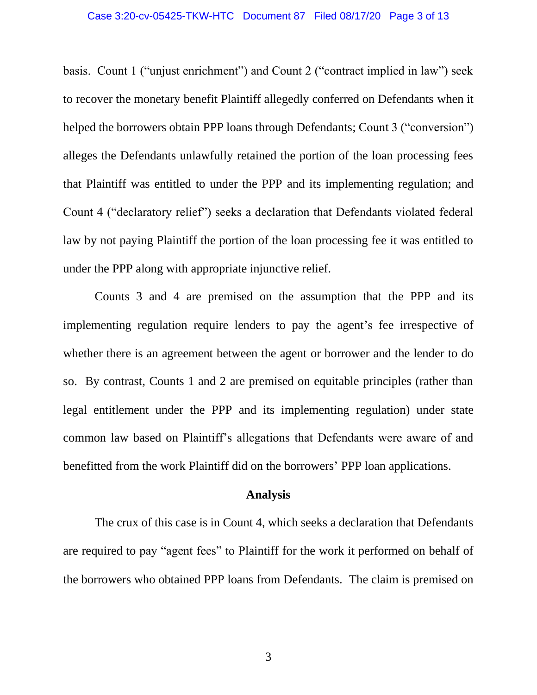basis. Count 1 ("unjust enrichment") and Count 2 ("contract implied in law") seek to recover the monetary benefit Plaintiff allegedly conferred on Defendants when it helped the borrowers obtain PPP loans through Defendants; Count 3 ("conversion") alleges the Defendants unlawfully retained the portion of the loan processing fees that Plaintiff was entitled to under the PPP and its implementing regulation; and Count 4 ("declaratory relief") seeks a declaration that Defendants violated federal law by not paying Plaintiff the portion of the loan processing fee it was entitled to under the PPP along with appropriate injunctive relief.

Counts 3 and 4 are premised on the assumption that the PPP and its implementing regulation require lenders to pay the agent's fee irrespective of whether there is an agreement between the agent or borrower and the lender to do so. By contrast, Counts 1 and 2 are premised on equitable principles (rather than legal entitlement under the PPP and its implementing regulation) under state common law based on Plaintiff's allegations that Defendants were aware of and benefitted from the work Plaintiff did on the borrowers' PPP loan applications.

#### **Analysis**

The crux of this case is in Count 4, which seeks a declaration that Defendants are required to pay "agent fees" to Plaintiff for the work it performed on behalf of the borrowers who obtained PPP loans from Defendants. The claim is premised on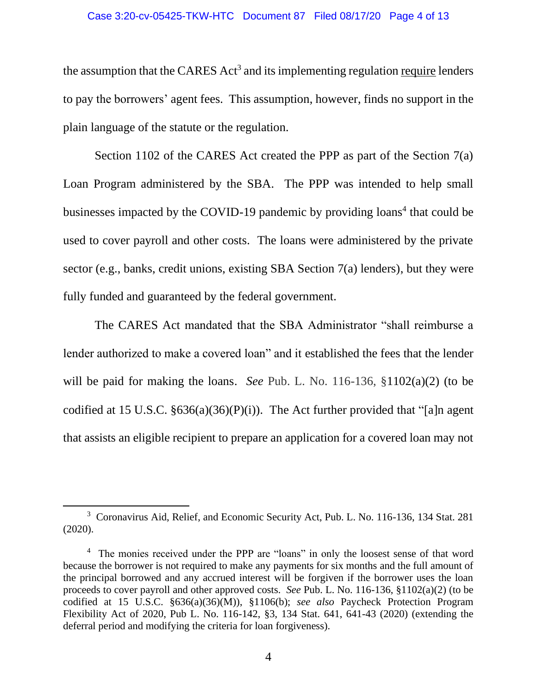the assumption that the CARES  $Act<sup>3</sup>$  and its implementing regulation require lenders to pay the borrowers' agent fees. This assumption, however, finds no support in the plain language of the statute or the regulation.

Section 1102 of the CARES Act created the PPP as part of the Section 7(a) Loan Program administered by the SBA. The PPP was intended to help small businesses impacted by the COVID-19 pandemic by providing loans<sup>4</sup> that could be used to cover payroll and other costs. The loans were administered by the private sector (e.g., banks, credit unions, existing SBA Section 7(a) lenders), but they were fully funded and guaranteed by the federal government.

The CARES Act mandated that the SBA Administrator "shall reimburse a lender authorized to make a covered loan" and it established the fees that the lender will be paid for making the loans. *See* Pub. L. No. 116-136, §1102(a)(2) (to be codified at 15 U.S.C.  $\S 636(a)(36)(P)(i)$ ). The Act further provided that "[a]n agent that assists an eligible recipient to prepare an application for a covered loan may not

<sup>&</sup>lt;sup>3</sup> Coronavirus Aid, Relief, and Economic Security Act, Pub. L. No. 116-136, 134 Stat. 281 (2020).

<sup>&</sup>lt;sup>4</sup> The monies received under the PPP are "loans" in only the loosest sense of that word because the borrower is not required to make any payments for six months and the full amount of the principal borrowed and any accrued interest will be forgiven if the borrower uses the loan proceeds to cover payroll and other approved costs. *See* Pub. L. No. 116-136, §1102(a)(2) (to be codified at 15 U.S.C. §636(a)(36)(M)), §1106(b); *see also* Paycheck Protection Program Flexibility Act of 2020, Pub L. No. 116-142, §3, 134 Stat. 641, 641-43 (2020) (extending the deferral period and modifying the criteria for loan forgiveness).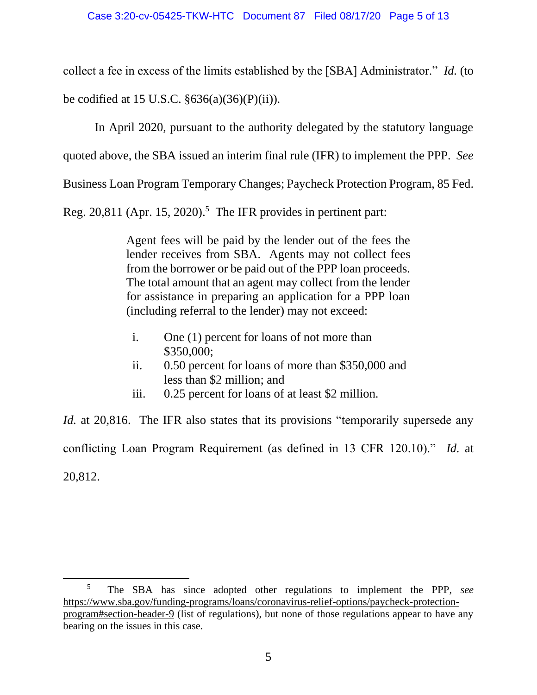collect a fee in excess of the limits established by the [SBA] Administrator." *Id.* (to

be codified at 15 U.S.C.  $\S 636(a)(36)(P)(ii)$ .

In April 2020, pursuant to the authority delegated by the statutory language

quoted above, the SBA issued an interim final rule (IFR) to implement the PPP. *See*

Business Loan Program Temporary Changes; Paycheck Protection Program, 85 Fed.

Reg. 20,811 (Apr. 15, 2020). 5 The IFR provides in pertinent part:

Agent fees will be paid by the lender out of the fees the lender receives from SBA. Agents may not collect fees from the borrower or be paid out of the PPP loan proceeds. The total amount that an agent may collect from the lender for assistance in preparing an application for a PPP loan (including referral to the lender) may not exceed:

- i. One (1) percent for loans of not more than \$350,000;
- ii. 0.50 percent for loans of more than \$350,000 and less than \$2 million; and
- iii. 0.25 percent for loans of at least \$2 million.

*Id.* at 20,816. The IFR also states that its provisions "temporarily supersede any conflicting Loan Program Requirement (as defined in 13 CFR 120.10)." *Id.* at 20,812.

<sup>5</sup> The SBA has since adopted other regulations to implement the PPP, *see* https://www.sba.gov/funding-programs/loans/coronavirus-relief-options/paycheck-protectionprogram#section-header-9 (list of regulations), but none of those regulations appear to have any bearing on the issues in this case.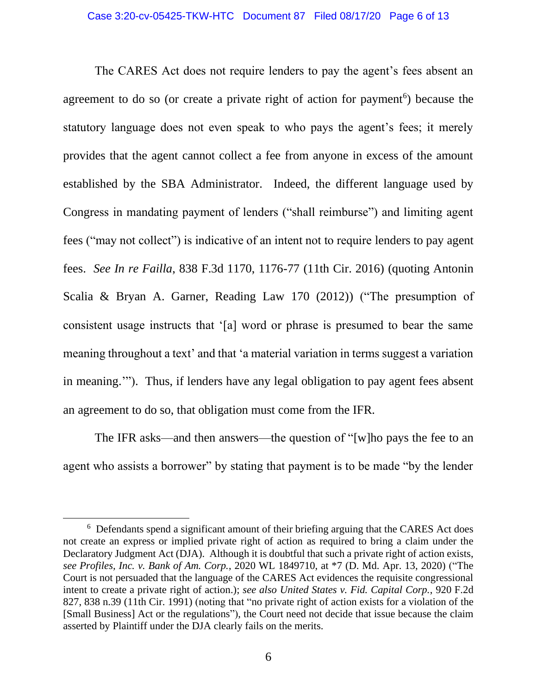The CARES Act does not require lenders to pay the agent's fees absent an agreement to do so (or create a private right of action for payment<sup>6</sup>) because the statutory language does not even speak to who pays the agent's fees; it merely provides that the agent cannot collect a fee from anyone in excess of the amount established by the SBA Administrator. Indeed, the different language used by Congress in mandating payment of lenders ("shall reimburse") and limiting agent fees ("may not collect") is indicative of an intent not to require lenders to pay agent fees. *See In re Failla*, 838 F.3d 1170, 1176-77 (11th Cir. 2016) (quoting Antonin Scalia & Bryan A. Garner, Reading Law 170 (2012)) ("The presumption of consistent usage instructs that '[a] word or phrase is presumed to bear the same meaning throughout a text' and that 'a material variation in terms suggest a variation in meaning.'"). Thus, if lenders have any legal obligation to pay agent fees absent an agreement to do so, that obligation must come from the IFR.

The IFR asks—and then answers—the question of "[w]ho pays the fee to an agent who assists a borrower" by stating that payment is to be made "by the lender

<sup>&</sup>lt;sup>6</sup> Defendants spend a significant amount of their briefing arguing that the CARES Act does not create an express or implied private right of action as required to bring a claim under the Declaratory Judgment Act (DJA). Although it is doubtful that such a private right of action exists, *see Profiles, Inc. v. Bank of Am. Corp.*, 2020 WL 1849710, at \*7 (D. Md. Apr. 13, 2020) ("The Court is not persuaded that the language of the CARES Act evidences the requisite congressional intent to create a private right of action.); *see also United States v. Fid. Capital Corp.*, 920 F.2d 827, 838 n.39 (11th Cir. 1991) (noting that "no private right of action exists for a violation of the [Small Business] Act or the regulations"), the Court need not decide that issue because the claim asserted by Plaintiff under the DJA clearly fails on the merits.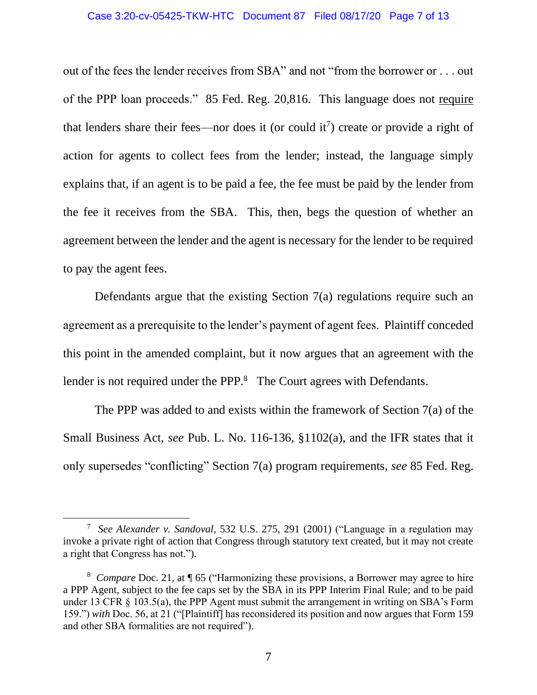### Case 3:20-cv-05425-TKW-HTC Document 87 Filed 08/17/20 Page 7 of 13

out of the fees the lender receives from SBA" and not "from the borrower or . . . out of the PPP loan proceeds." 85 Fed. Reg. 20,816. This language does not require that lenders share their fees—nor does it (or could it<sup>7</sup>) create or provide a right of action for agents to collect fees from the lender; instead, the language simply explains that, if an agent is to be paid a fee, the fee must be paid by the lender from the fee it receives from the SBA. This, then, begs the question of whether an agreement between the lender and the agent is necessary for the lender to be required to pay the agent fees.

Defendants argue that the existing Section  $7(a)$  regulations require such an agreement as a prerequisite to the lender's payment of agent fees. Plaintiff conceded this point in the amended complaint, but it now argues that an agreement with the lender is not required under the PPP.<sup>8</sup> The Court agrees with Defendants.

The PPP was added to and exists within the framework of Section 7(a) of the Small Business Act, *see* Pub. L. No. 116-136, §1102(a), and the IFR states that it only supersedes "conflicting" Section 7(a) program requirements, *see* 85 Fed. Reg.

<sup>7</sup> *See Alexander v. Sandoval*, 532 U.S. 275, 291 (2001) ("Language in a regulation may invoke a private right of action that Congress through statutory text created, but it may not create a right that Congress has not.").

<sup>&</sup>lt;sup>8</sup> Compare Doc. 21, at ¶ 65 ("Harmonizing these provisions, a Borrower may agree to hire a PPP Agent, subject to the fee caps set by the SBA in its PPP Interim Final Rule; and to be paid under 13 CFR § 103.5(a), the PPP Agent must submit the arrangement in writing on SBA's Form 159.") *with* Doc. 56, at 21 ("[Plaintiff] has reconsidered its position and now argues that Form 159 and other SBA formalities are not required").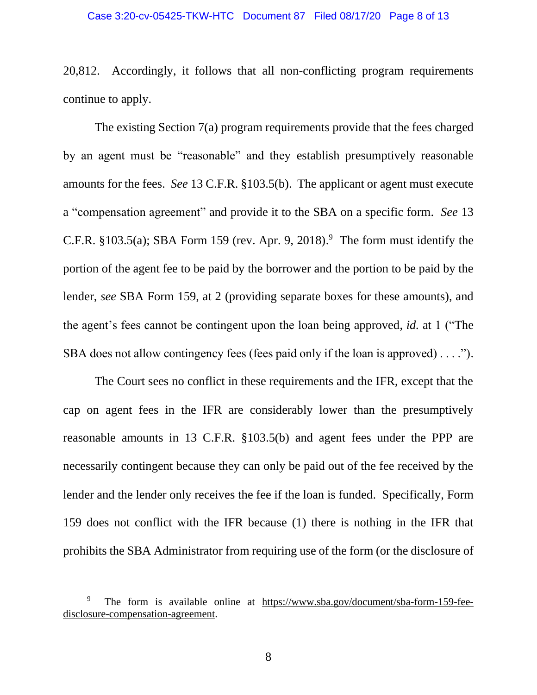20,812. Accordingly, it follows that all non-conflicting program requirements continue to apply.

The existing Section 7(a) program requirements provide that the fees charged by an agent must be "reasonable" and they establish presumptively reasonable amounts for the fees. *See* 13 C.F.R. §103.5(b). The applicant or agent must execute a "compensation agreement" and provide it to the SBA on a specific form. *See* 13 C.F.R.  $§103.5(a)$ ; SBA Form 159 (rev. Apr. 9, 2018).<sup>9</sup> The form must identify the portion of the agent fee to be paid by the borrower and the portion to be paid by the lender, *see* SBA Form 159, at 2 (providing separate boxes for these amounts), and the agent's fees cannot be contingent upon the loan being approved, *id.* at 1 ("The SBA does not allow contingency fees (fees paid only if the loan is approved) . . . .").

The Court sees no conflict in these requirements and the IFR, except that the cap on agent fees in the IFR are considerably lower than the presumptively reasonable amounts in 13 C.F.R. §103.5(b) and agent fees under the PPP are necessarily contingent because they can only be paid out of the fee received by the lender and the lender only receives the fee if the loan is funded. Specifically, Form 159 does not conflict with the IFR because (1) there is nothing in the IFR that prohibits the SBA Administrator from requiring use of the form (or the disclosure of

<sup>9</sup> The form is available online at https://www.sba.gov/document/sba-form-159-feedisclosure-compensation-agreement.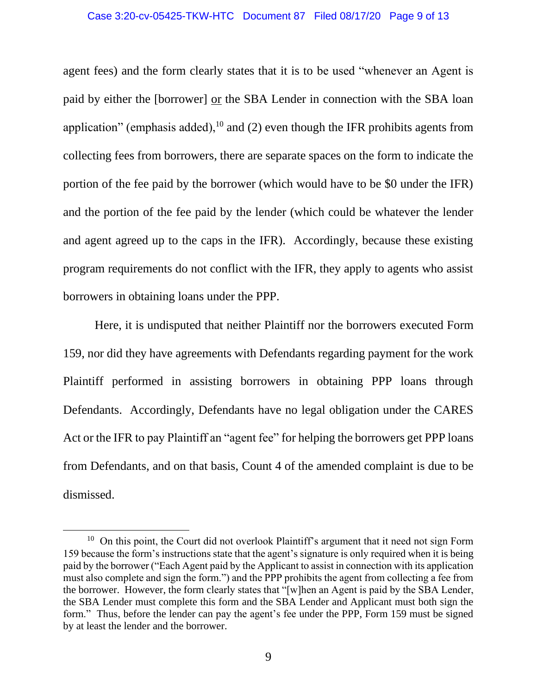agent fees) and the form clearly states that it is to be used "whenever an Agent is paid by either the [borrower] or the SBA Lender in connection with the SBA loan application" (emphasis added), $10$  and (2) even though the IFR prohibits agents from collecting fees from borrowers, there are separate spaces on the form to indicate the portion of the fee paid by the borrower (which would have to be \$0 under the IFR) and the portion of the fee paid by the lender (which could be whatever the lender and agent agreed up to the caps in the IFR). Accordingly, because these existing program requirements do not conflict with the IFR, they apply to agents who assist borrowers in obtaining loans under the PPP.

Here, it is undisputed that neither Plaintiff nor the borrowers executed Form 159, nor did they have agreements with Defendants regarding payment for the work Plaintiff performed in assisting borrowers in obtaining PPP loans through Defendants. Accordingly, Defendants have no legal obligation under the CARES Act or the IFR to pay Plaintiff an "agent fee" for helping the borrowers get PPP loans from Defendants, and on that basis, Count 4 of the amended complaint is due to be dismissed.

 $10$  On this point, the Court did not overlook Plaintiff's argument that it need not sign Form 159 because the form's instructions state that the agent's signature is only required when it is being paid by the borrower ("Each Agent paid by the Applicant to assist in connection with its application must also complete and sign the form.") and the PPP prohibits the agent from collecting a fee from the borrower. However, the form clearly states that "[w]hen an Agent is paid by the SBA Lender, the SBA Lender must complete this form and the SBA Lender and Applicant must both sign the form." Thus, before the lender can pay the agent's fee under the PPP, Form 159 must be signed by at least the lender and the borrower.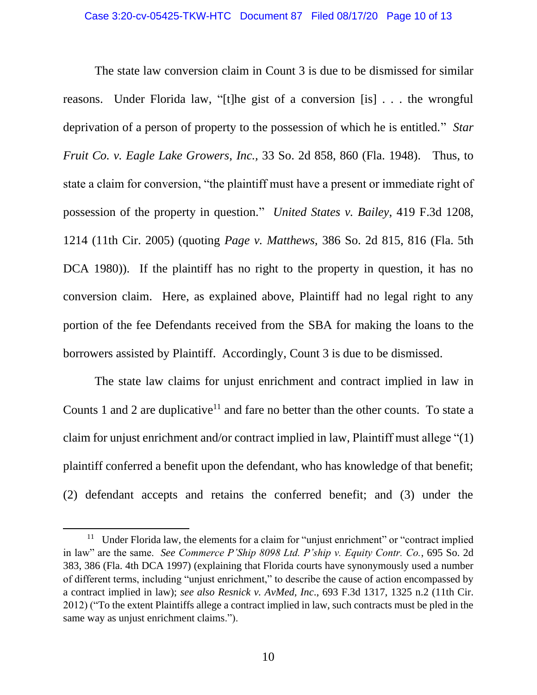The state law conversion claim in Count 3 is due to be dismissed for similar reasons. Under Florida law, "[t]he gist of a conversion [is] . . . the wrongful deprivation of a person of property to the possession of which he is entitled." *Star Fruit Co. v. Eagle Lake Growers, Inc.,* 33 So. 2d 858, 860 (Fla. 1948). Thus, to state a claim for conversion, "the plaintiff must have a present or immediate right of possession of the property in question." *United States v. Bailey*, 419 F.3d 1208, 1214 (11th Cir. 2005) (quoting *Page v. Matthews,* 386 So. 2d 815, 816 (Fla. 5th DCA 1980)). If the plaintiff has no right to the property in question, it has no conversion claim. Here, as explained above, Plaintiff had no legal right to any portion of the fee Defendants received from the SBA for making the loans to the borrowers assisted by Plaintiff. Accordingly, Count 3 is due to be dismissed.

The state law claims for unjust enrichment and contract implied in law in Counts 1 and 2 are duplicative<sup>11</sup> and fare no better than the other counts. To state a claim for unjust enrichment and/or contract implied in law, Plaintiff must allege "(1) plaintiff conferred a benefit upon the defendant, who has knowledge of that benefit; (2) defendant accepts and retains the conferred benefit; and (3) under the

<sup>&</sup>lt;sup>11</sup> Under Florida law, the elements for a claim for "unjust enrichment" or "contract implied in law" are the same. *See Commerce P'Ship 8098 Ltd. P'ship v. Equity Contr. Co.*, 695 So. 2d 383, 386 (Fla. 4th DCA 1997) (explaining that Florida courts have synonymously used a number of different terms, including "unjust enrichment," to describe the cause of action encompassed by a contract implied in law); *see also Resnick v. AvMed, Inc*., 693 F.3d 1317, 1325 n.2 (11th Cir. 2012) ("To the extent Plaintiffs allege a contract implied in law, such contracts must be pled in the same way as unjust enrichment claims.").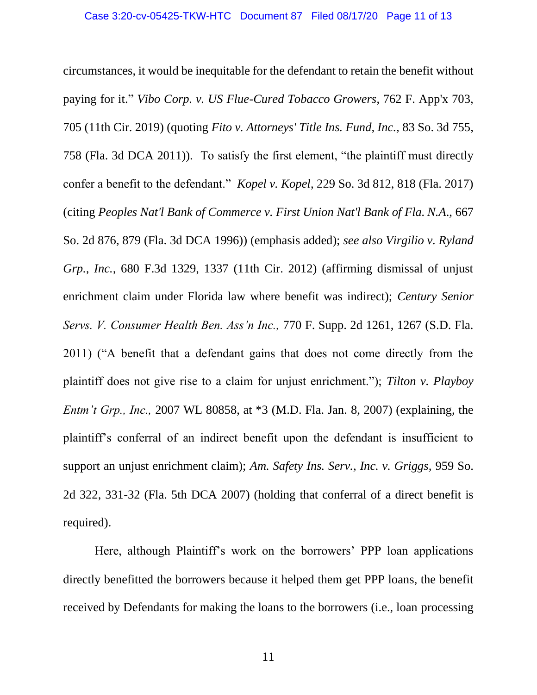circumstances, it would be inequitable for the defendant to retain the benefit without paying for it." *Vibo Corp. v. US Flue-Cured Tobacco Growers*, 762 F. App'x 703, 705 (11th Cir. 2019) (quoting *Fito v. Attorneys' Title Ins. Fund, Inc.,* 83 So. 3d 755, 758 (Fla. 3d DCA 2011)). To satisfy the first element, "the plaintiff must directly confer a benefit to the defendant." *Kopel v. Kopel*, 229 So. 3d 812, 818 (Fla. 2017) (citing *Peoples Nat'l Bank of Commerce v. First Union Nat'l Bank of Fla. N.A*., 667 So. 2d 876, 879 (Fla. 3d DCA 1996)) (emphasis added); *see also Virgilio v. Ryland Grp., Inc.,* 680 F.3d 1329, 1337 (11th Cir. 2012) (affirming dismissal of unjust enrichment claim under Florida law where benefit was indirect); *Century Senior Servs. V. Consumer Health Ben. Ass'n Inc.,* 770 F. Supp. 2d 1261, 1267 (S.D. Fla. 2011) ("A benefit that a defendant gains that does not come directly from the plaintiff does not give rise to a claim for unjust enrichment."); *Tilton v. Playboy Entm't Grp., Inc.,* 2007 WL 80858, at \*3 (M.D. Fla. Jan. 8, 2007) (explaining, the plaintiff's conferral of an indirect benefit upon the defendant is insufficient to support an unjust enrichment claim); *Am. Safety Ins. Serv., Inc. v. Griggs,* 959 So. 2d 322, 331-32 (Fla. 5th DCA 2007) (holding that conferral of a direct benefit is required).

Here, although Plaintiff's work on the borrowers' PPP loan applications directly benefitted the borrowers because it helped them get PPP loans, the benefit received by Defendants for making the loans to the borrowers (i.e., loan processing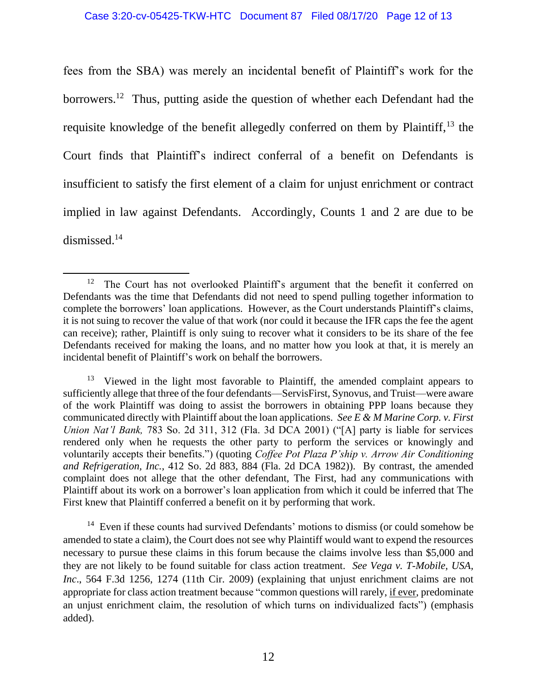fees from the SBA) was merely an incidental benefit of Plaintiff's work for the borrowers.<sup>12</sup> Thus, putting aside the question of whether each Defendant had the requisite knowledge of the benefit allegedly conferred on them by Plaintiff,<sup>13</sup> the Court finds that Plaintiff's indirect conferral of a benefit on Defendants is insufficient to satisfy the first element of a claim for unjust enrichment or contract implied in law against Defendants. Accordingly, Counts 1 and 2 are due to be dismissed.<sup>14</sup>

<sup>12</sup> The Court has not overlooked Plaintiff's argument that the benefit it conferred on Defendants was the time that Defendants did not need to spend pulling together information to complete the borrowers' loan applications. However, as the Court understands Plaintiff's claims, it is not suing to recover the value of that work (nor could it because the IFR caps the fee the agent can receive); rather, Plaintiff is only suing to recover what it considers to be its share of the fee Defendants received for making the loans, and no matter how you look at that, it is merely an incidental benefit of Plaintiff's work on behalf the borrowers.

<sup>&</sup>lt;sup>13</sup> Viewed in the light most favorable to Plaintiff, the amended complaint appears to sufficiently allege that three of the four defendants—ServisFirst, Synovus, and Truist—were aware of the work Plaintiff was doing to assist the borrowers in obtaining PPP loans because they communicated directly with Plaintiff about the loan applications. *See E & M Marine Corp. v. First Union Nat'l Bank,* 783 So. 2d 311, 312 (Fla. 3d DCA 2001) ("[A] party is liable for services rendered only when he requests the other party to perform the services or knowingly and voluntarily accepts their benefits.") (quoting *Coffee Pot Plaza P'ship v. Arrow Air Conditioning and Refrigeration, Inc.,* 412 So. 2d 883, 884 (Fla. 2d DCA 1982)). By contrast, the amended complaint does not allege that the other defendant, The First, had any communications with Plaintiff about its work on a borrower's loan application from which it could be inferred that The First knew that Plaintiff conferred a benefit on it by performing that work.

<sup>&</sup>lt;sup>14</sup> Even if these counts had survived Defendants' motions to dismiss (or could somehow be amended to state a claim), the Court does not see why Plaintiff would want to expend the resources necessary to pursue these claims in this forum because the claims involve less than \$5,000 and they are not likely to be found suitable for class action treatment. *See Vega v. T-Mobile, USA, Inc*., 564 F.3d 1256, 1274 (11th Cir. 2009) (explaining that unjust enrichment claims are not appropriate for class action treatment because "common questions will rarely, if ever, predominate an unjust enrichment claim, the resolution of which turns on individualized facts") (emphasis added).